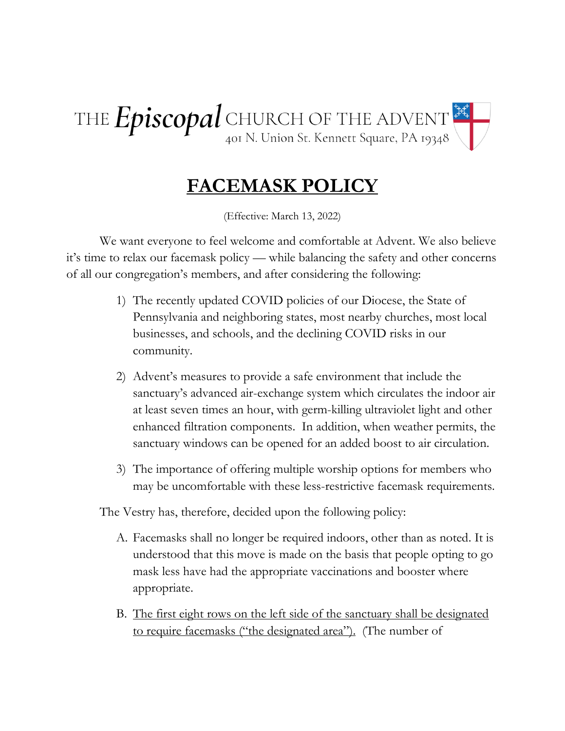THE  $Episcopal$  CHURCH OF THE ADVENT  $\mathbb{R}$ 

## **FACEMASK POLICY**

(Effective: March 13, 2022)

We want everyone to feel welcome and comfortable at Advent. We also believe it's time to relax our facemask policy — while balancing the safety and other concerns of all our congregation's members, and after considering the following:

- 1) The recently updated COVID policies of our Diocese, the State of Pennsylvania and neighboring states, most nearby churches, most local businesses, and schools, and the declining COVID risks in our community.
- 2) Advent's measures to provide a safe environment that include the sanctuary's advanced air-exchange system which circulates the indoor air at least seven times an hour, with germ-killing ultraviolet light and other enhanced filtration components. In addition, when weather permits, the sanctuary windows can be opened for an added boost to air circulation.
- 3) The importance of offering multiple worship options for members who may be uncomfortable with these less-restrictive facemask requirements.

The Vestry has, therefore, decided upon the following policy:

- A. Facemasks shall no longer be required indoors, other than as noted. It is understood that this move is made on the basis that people opting to go mask less have had the appropriate vaccinations and booster where appropriate.
- B. The first eight rows on the left side of the sanctuary shall be designated to require facemasks ("the designated area"). (The number of